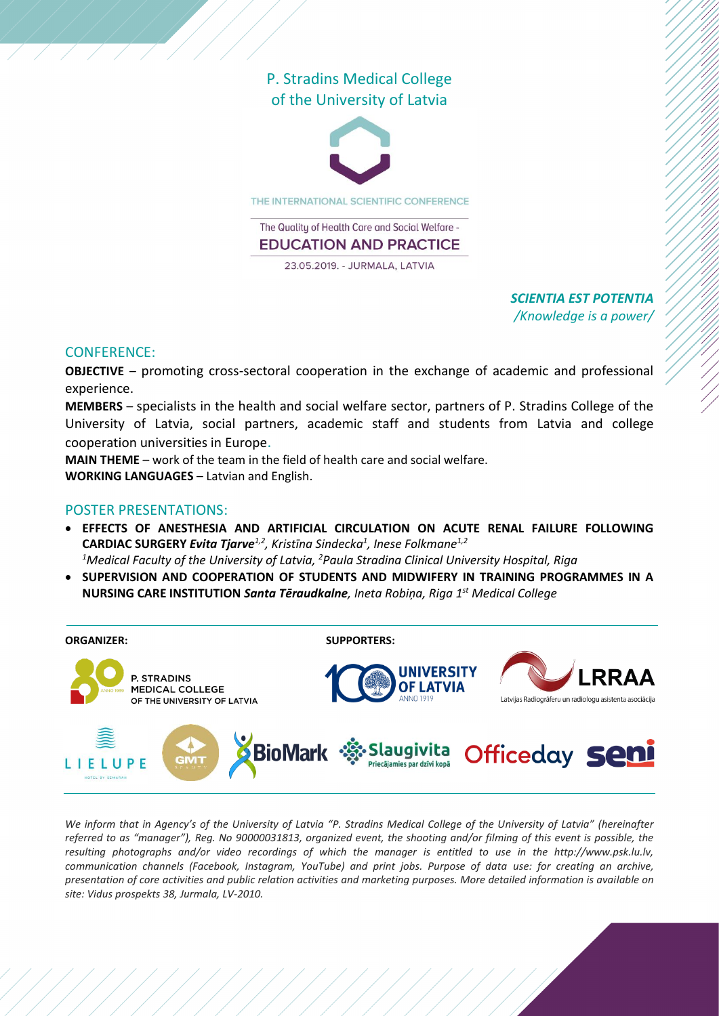## P. Stradins Medical College of the University of Latvia



THE INTERNATIONAL SCIENTIFIC CONFERENCE

The Quality of Health Care and Social Welfare -**EDUCATION AND PRACTICE** 

23.05.2019. - JURMALA, LATVIA

### *SCIENTIA EST POTENTIA /Knowledge is a power/*

#### CONFERENCE:

**OBJECTIVE** – promoting cross-sectoral cooperation in the exchange of academic and professional experience.

**MEMBERS** – specialists in the health and social welfare sector, partners of P. Stradins College of the University of Latvia, social partners, academic staff and students from Latvia and college cooperation universities in Europe.

**MAIN THEME** – work of the team in the field of health care and social welfare.

**WORKING LANGUAGES** – Latvian and English.

#### POSTER PRESENTATIONS:

- **EFFECTS OF ANESTHESIA AND ARTIFICIAL CIRCULATION ON ACUTE RENAL FAILURE FOLLOWING CARDIAC SURGERY** *Evita Tjarve1,2, Kristīna Sindecka<sup>1</sup> , Inese Folkmane1,2 <sup>1</sup>Medical Faculty of the University of Latvia, <sup>2</sup>Paula Stradina Clinical University Hospital, Riga*
- **SUPERVISION AND COOPERATION OF STUDENTS AND MIDWIFERY IN TRAINING PROGRAMMES IN A NURSING CARE INSTITUTION** *Santa Tēraudkalne, Ineta Robiņa, Riga 1st Medical College*



*We inform that in Agency's of the University of Latvia "P. Stradins Medical College of the University of Latvia" (hereinafter referred to as "manager"), Reg. No 90000031813, organized event, the shooting and/or filming of this event is possible, the resulting photographs and/or video recordings of which the manager is entitled to use in the http://www.psk.lu.lv, communication channels (Facebook, Instagram, YouTube) and print jobs. Purpose of data use: for creating an archive, presentation of core activities and public relation activities and marketing purposes. More detailed information is available on site: Vidus prospekts 38, Jurmala, LV-2010.*